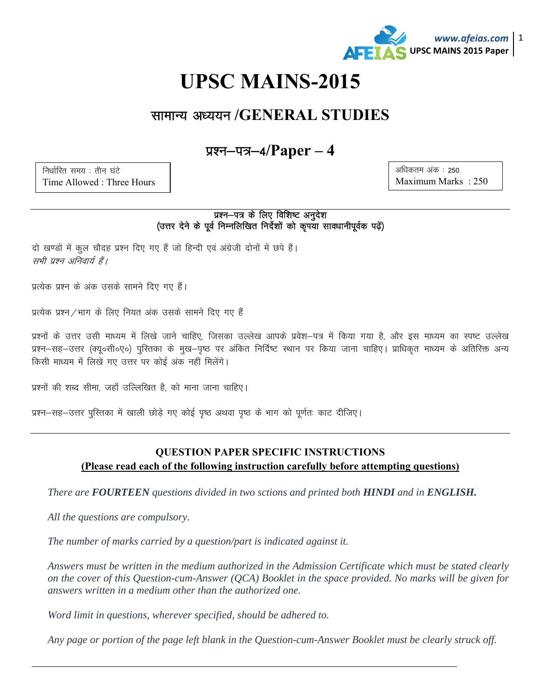

# **UPSC MAINS-2015**

## सामान्य अध्ययन /GENERAL STUDIES

### प्रश्न—पत्र—4/ $\bf{Paper}=4$

निर्धारित समय: तीन घंटे Time Allowed: Three Hours अधिकतम अंक: 250 Maximum Marks: 250

प्रश्न-पत्र के लिए विशिष्ट अनुदेश (उत्तर देने के पूर्व निम्नलिखित निर्देशों को कृपया सावधानीपूर्वक पढ़ें)

दो खण्डों में कूल चौदह प्रश्न दिए गए हैं जो हिन्दी एवं अंग्रेजी दोनों में छपे हैं। सभी प्रश्न अनिवार्य हैं।

प्रत्येक प्रश्न के अंक उसके सामने दिए गए हैं।

प्रत्येक प्रश्न /भाग के लिए नियत अंक उसके सामने दिए गए हैं

प्रश्नों के उत्तर उसी माध्यम में लिखे जाने चाहिए, जिसका उल्लेख आपके प्रवेश–पत्र में किया गया है, और इस माध्यम का स्पष्ट उल्लेख प्रश्न–सह–उत्तर (क्यू०सी०ए०) पुस्तिका के मुख–पृष्ठ पर अंकित निर्दिष्ट स्थान पर किया जाना चाहिए। प्राधिकृत माध्यम के अतिरिक्त अन्य किसी माध्यम में लिखे गए उत्तर पर कोई अंक नहीं मिलेंगे।

प्रश्नों की शब्द सीमा, जहाँ उल्लिखित है, को माना जाना चाहिए।

प्रश्न-सह-उत्तर पुस्तिका में खाली छोड़े गए कोई पृष्ठ अथवा पृष्ठ के भाग को पूर्णतः काट दीजिए।

### **QUESTION PAPER SPECIFIC INSTRUCTIONS** (Please read each of the following instruction carefully before attempting questions)

There are **FOURTEEN** questions divided in two sctions and printed both **HINDI** and in **ENGLISH**.

All the questions are compulsory.

The number of marks carried by a question/part is indicated against it.

Answers must be written in the medium authorized in the Admission Certificate which must be stated clearly on the cover of this Question-cum-Answer (QCA) Booklet in the space provided. No marks will be given for answers written in a medium other than the authorized one.

Word limit in questions, wherever specified, should be adhered to.

Any page or portion of the page left blank in the Question-cum-Answer Booklet must be clearly struck off.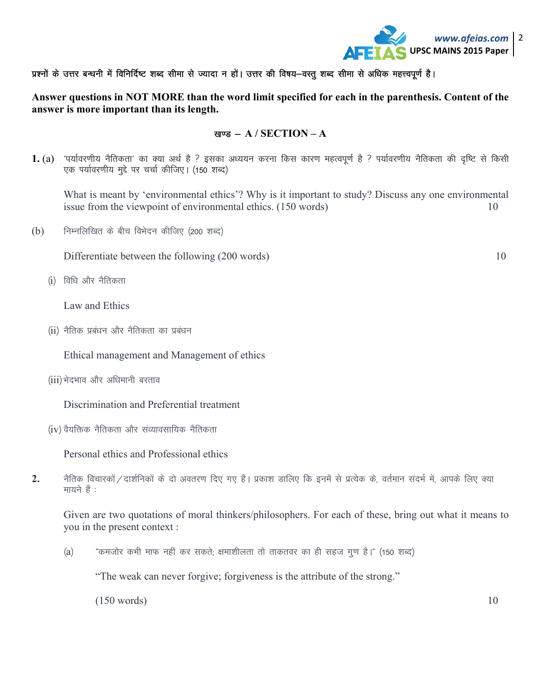

#### प्रश्नों के उत्तर बन्धनी में विनिर्दिष्ट शब्द सीमा से ज्यादा न हों। उत्तर की विषय-वस्तू शब्द सीमा से अधिक महत्त्वपूर्ण है।

**Answer questions in NOT MORE than the word limit specified for each in the parenthesis. Content of the answer is more important than its length.** 

#### खण्ड - A / SECTION - A

1. (a) पर्यावरणीय नैतिकता' का क्या अर्थ है ? इसका अध्ययन करना किस कारण महत्वपूर्ण है ? पर्यावरणीय नैतिकता की दृष्टि से किसी एक पर्यावरणीय मुद्दे पर चर्चा कीजिए। (150 शब्द)

What is meant by 'environmental ethics'? Why is it important to study? Discuss any one environmental issue from the viewpoint of environmental ethics. (150 words) 10

 $(b)$  निम्नलिखित के बीच विभेदन कीजिए (200 शब्द)

Differentiate between the following (200 words) 10

 $(i)$  विधि और नैतिकता

Law and Ethics

 $(ii)$  नैतिक प्रबंधन और नैतिकता का प्रबंधन

Ethical management and Management of ethics

(iii) भेदभाव और अधिमानी बरताव

Discrimination and Preferential treatment

 $(iv)$  वैयक्तिक नैतिकता और संव्यावसायिक नैतिकता

Personal ethics and Professional ethics

2. नैतिक विचारकों / दार्शनिकों के दो अवतरण दिए गए हैं। प्रकाश डालिए कि इनमें से प्रत्येक के, वर्तमान संदर्भ में, आपके लिए क्या मायने हैं:

Given are two quotations of moral thinkers/philosophers. For each of these, bring out what it means to you in the present context :

(a) – "कमजोर कभी माफ नहीं कर सकते; क्षमाशीलता तो ताकतवर का ही सहज गुण है।" (150 शब्द)

"The weak can never forgive; forgiveness is the attribute of the strong."

 $(150 \text{ words})$  10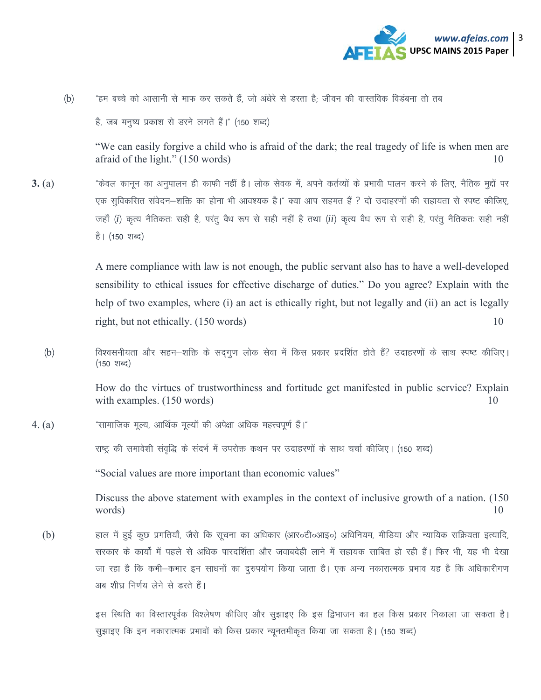

(b) "हम बच्चे को आसानी से माफ कर सकते हैं, जो अंधेरे से डरता है; जीवन की वास्तविक विडंबना तो तब है, जब मनुष्य प्रकाश से डरने लगते हैं।" (150 शब्द)

"We can easily forgive a child who is afraid of the dark; the real tragedy of life is when men are afraid of the light." (150 words) 10

**3.** (a) "केवल कानून का अनुपालन ही काफी नहीं है। लोक सेवक में, अपने कर्तव्यों के प्रभावी पालन करने के लिए, नैतिक मुद्दों पर एक सुविकसित संवेदन—शक्ति का होना भी आवश्यक है।" क्या आप सहमत हैं ? दो उदाहरणों की सहायता से स्पष्ट कीजिए, जहाँ (i) कृत्य नैतिकतः सही है, परंतु वैध रूप से सही नहीं है तथा (ii) कृत्य वैध रूप से सही है, परंतु नैतिकतः सही नहीं है। (150 शब्द)

> A mere compliance with law is not enough, the public servant also has to have a well-developed sensibility to ethical issues for effective discharge of duties." Do you agree? Explain with the help of two examples, where (i) an act is ethically right, but not legally and (ii) an act is legally right, but not ethically.  $(150 \text{ words})$  10

(b) विश्वसनीयता और सहन–शक्ति के सदगुण लोक सेवा में किस प्रकार प्रदर्शित होते हैं? उदाहरणों के साथ स्पष्ट कीजिए।  $(150 \; \text{V} \cdot \text{V} \cdot \text{V})$ 

> How do the virtues of trustworthiness and fortitude get manifested in public service? Explain with examples.  $(150 \text{ words})$  10

4. (a) • सामाजिक मूल्य, आर्थिक मूल्यों की अपेक्षा अधिक महत्त्वपूर्ण हैं।"

राष्ट्र की समावेशी संवृद्धि के संदर्भ में उपरोक्त कथन पर उदाहरणों के साथ चर्चा कीजिए। (150 शब्द)

"Social values are more important than economic values"

Discuss the above statement with examples in the context of inclusive growth of a nation. (150 words) and the set of the set of the set of the set of the set of the set of the set of the set of the set of the set of the set of the set of the set of the set of the set of the set of the set of the set of the set of th

(b) हाल में हुई कुछ प्रगतियाँ, जैसे कि सूचना का अधिकार (आर०टी०आइ०) अधिनियम, मीडिया और न्यायिक सक्रियता इत्यादि, सरकार के कार्यों में पहले से अधिक पारदर्शिता और जवाबदेही लाने में सहायक साबित हो रही हैं। फिर भी, यह भी देखा जा रहा है कि कभी-कभार इन साधनों का दुरुपयोग किया जाता है। एक अन्य नकारात्मक प्रभाव यह है कि अधिकारीगण अब शीघ्र निर्णय लेने से डरते हैं।

> इस स्थिति का विस्तारपूर्वक विश्लेषण कीजिए और सुझाइए कि इस द्विभाजन का हल किस प्रकार निकाला जा सकता है। सुझाइए कि इन नकारात्मक प्रभावों को किस प्रकार न्यूनतमीकृत किया जा सकता है। (150 शब्द)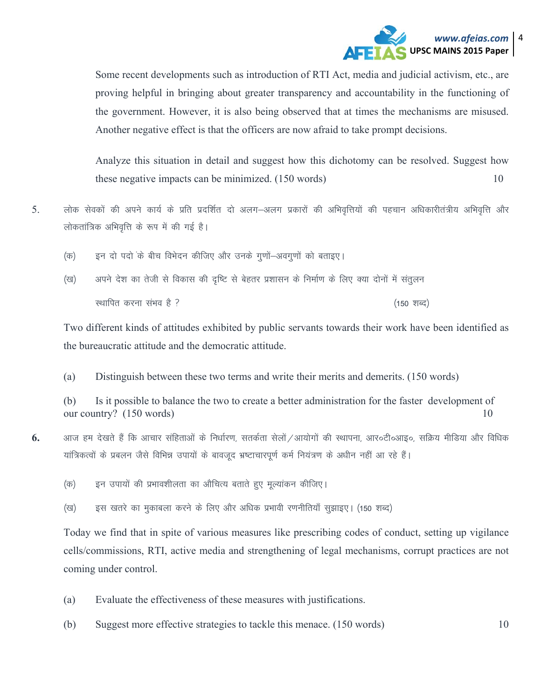

Some recent developments such as introduction of RTI Act, media and judicial activism, etc., are proving helpful in bringing about greater transparency and accountability in the functioning of the government. However, it is also being observed that at times the mechanisms are misused. Another negative effect is that the officers are now afraid to take prompt decisions.

Analyze this situation in detail and suggest how this dichotomy can be resolved. Suggest how these negative impacts can be minimized. (150 words) 10

- 5. लोक सेवकों की अपने कार्य के प्रति प्रदर्शित दो अलग—अलग प्रकारों की अभिवृत्तियों की पहचान अधिकारीतंत्रीय अभिवृत्ति और लोकतांत्रिक अभिवृत्ति के रूप में की गई है।
	- (क) हन दो पदों के बीच विभेदन कीजिए और उनके गुणों-अवगुणों को बताइए।
	- (ख) व्यापने देश का तेजी से विकास की दृष्टि से बेहतर प्रशासन के निर्माण के लिए क्या दोनों में संतुलन  $\mathcal{L}$ स्थापित करना संभव है ?  $\mathcal{L}$   $\mathcal{L}$   $\mathcal{L}$   $\mathcal{L}$   $\mathcal{L}$   $\mathcal{L}$   $\mathcal{L}$   $\mathcal{L}$   $\mathcal{L}$   $\mathcal{L}$   $\mathcal{L}$   $\mathcal{L}$   $\mathcal{L}$   $\mathcal{L}$   $\mathcal{L}$   $\mathcal{L}$   $\mathcal{L}$   $\mathcal{L}$   $\mathcal{L}$   $\mathcal{L}$   $\mathcal{L}$

Two different kinds of attitudes exhibited by public servants towards their work have been identified as the bureaucratic attitude and the democratic attitude.

(a) Distinguish between these two terms and write their merits and demerits. (150 words)

(b) Is it possible to balance the two to create a better administration for the faster development of our country? (150 words) 10

- **6.** आज हम देखते हैं कि आचार संहिताओं के निर्धारण, सतर्कता सेलों /आयोगों की स्थापना, आर॰टी॰आइ॰, सक्रिय मीडिया और विधिक यांत्रिकत्वों के प्रबलन जैसे विभिन्न उपायों के बावजूद भ्रष्टाचारपूर्ण कर्म नियंत्रण के अधीन नहीं आ रहे हैं।
	- (क) हन उपायों की प्रभावशीलता का औचित्य बताते हुए मूल्यांकन कीजिए।
	- (ख) हस खतरे का मुकाबला करने के लिए और अधिक प्रभावी रणनीतियाँ सूझाइए। (150 शब्द)

Today we find that in spite of various measures like prescribing codes of conduct, setting up vigilance cells/commissions, RTI, active media and strengthening of legal mechanisms, corrupt practices are not coming under control.

- (a) Evaluate the effectiveness of these measures with justifications.
- (b) Suggest more effective strategies to tackle this menace. (150 words) 10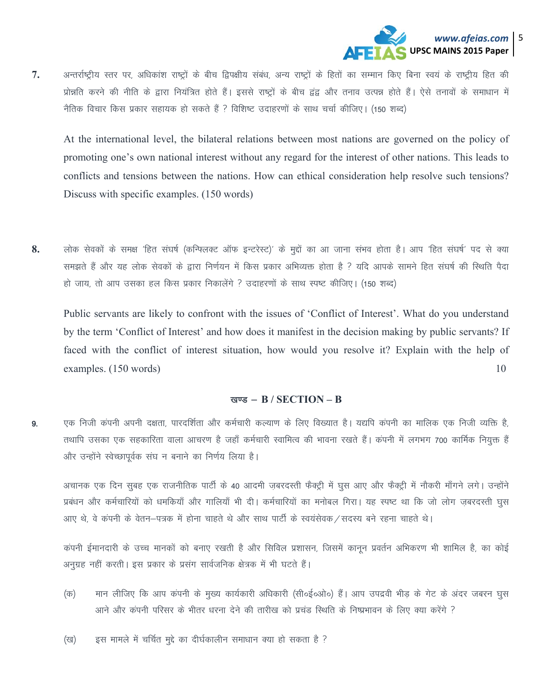

अन्तर्राष्ट्रीय स्तर पर, अधिकांश राष्ट्रों के बीच द्विपक्षीय संबंध, अन्य राष्ट्रों के हितों का सम्मान किए बिना स्वयं के राष्ट्रीय हित की  $7.$ प्रोन्नति करने की नीति के द्वारा नियंत्रित होते हैं। इससे राष्ट्रों के बीच द्वंद्व और तनाव उत्पन्न होते हैं। ऐसे तनावों के समाधान में नैतिक विचार किस प्रकार सहायक हो सकते हैं ? विशिष्ट उदाहरणों के साथ चर्चा कीजिए। (150 शब्द)

At the international level, the bilateral relations between most nations are governed on the policy of promoting one's own national interest without any regard for the interest of other nations. This leads to conflicts and tensions between the nations. How can ethical consideration help resolve such tensions? Discuss with specific examples. (150 words)

8. लोक सेवकों के समक्ष 'हित संघर्ष (कन्फ्लिक्ट ऑफ इन्टरेस्ट)' के मुद्दों का आ जाना संभव होता है। आप 'हित संघर्ष' पद से क्या समझते हैं और यह लोक सेवकों के द्वारा निर्णयन में किस प्रकार अभिव्यक्त होता है ? यदि आपके सामने हित संघर्ष की स्थिति पैदा हो जाय, तो आप उसका हल किस प्रकार निकालेंगे ? उदाहरणों के साथ स्पष्ट कीजिए। (150 शब्द)

Public servants are likely to confront with the issues of 'Conflict of Interest'. What do you understand by the term 'Conflict of Interest' and how does it manifest in the decision making by public servants? If faced with the conflict of interest situation, how would you resolve it? Explain with the help of examples. (150 words) 10

#### खण्ड  $-$  B / SECTION  $-$  B

एक निजी कंपनी अपनी दक्षता, पारदर्शिता और कर्मचारी कल्याण के लिए विख्यात है। यद्यपि कंपनी का मालिक एक निजी व्यक्ति है, 9. तथापि उसका एक सहकारिता वाला आचरण है जहाँ कर्मचारी स्वामित्व की भावना रखते हैं। कंपनी में लगभग 700 कार्मिक नियुक्त हैं और उन्होंने स्वेच्छापूर्वक संघ न बनाने का निर्णय लिया है।

अचानक एक दिन सुबह एक राजनीतिक पार्टी के 40 आदमी जबरदस्ती फैक्ट्री में घुस आए और फैक्ट्री में नौकरी माँगने लगे। उन्होंने प्रबंधन और कर्मचारियों को धमकियाँ और गालियाँ भी दी। कर्मचारियों का मनोबल गिरा। यह स्पष्ट था कि जो लोग जबरदस्ती घुस आए थे, वे कंपनी के वेतन-पत्रक में होना चाहते थे और साथ पार्टी के स्वयंसेवक / सदस्य बने रहना चाहते थे।

कंपनी ईमानदारी के उच्च मानकों को बनाए रखती है और सिविल प्रशासन, जिसमें कानून प्रवर्तन अभिकरण भी शामिल है, का कोई अनुग्रह नहीं करती। इस प्रकार के प्रसंग सार्वजनिक क्षेत्रक में भी घटते हैं।

- मान लीजिए कि आप कंपनी के मुख्य कार्यकारी अधिकारी (सी०ई०ओ०) हैं। आप उपद्रवी भीड़ के गेट के अंदर जबरन घुस (क) आने और कंपनी परिसर के भीतर धरना देने की तारीख को प्रचंड स्थिति के निष्प्रभावन के लिए क्या करेंगे ?
- इस मामले में चर्चित मुद्दे का दीर्घकालीन समाधान क्या हो सकता है ? (ख)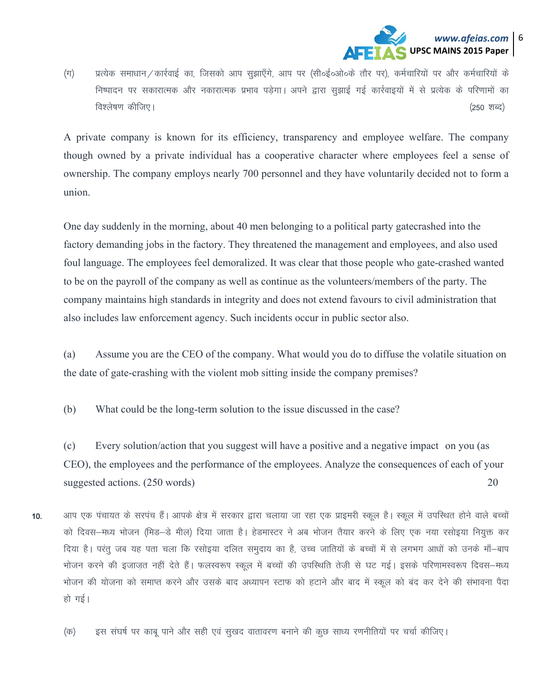

(ग) प्रत्येक समाधान / कार्रवाई का, जिसको आप सुझाएँगे, आप पर (सी०ई०ओ०के तौर पर), कर्मचारियों पर और कर्मचारियों के निष्पादन पर सकारात्मक और नकारात्मक प्रभाव पडेगा। अपने द्वारा सूझाई गई कार्रवाइयों में से प्रत्येक के परिणामों का fo'ys"k.k dhft,A ¼250 'kCn½

A private company is known for its efficiency, transparency and employee welfare. The company though owned by a private individual has a cooperative character where employees feel a sense of ownership. The company employs nearly 700 personnel and they have voluntarily decided not to form a union.

One day suddenly in the morning, about 40 men belonging to a political party gatecrashed into the factory demanding jobs in the factory. They threatened the management and employees, and also used foul language. The employees feel demoralized. It was clear that those people who gate-crashed wanted to be on the payroll of the company as well as continue as the volunteers/members of the party. The company maintains high standards in integrity and does not extend favours to civil administration that also includes law enforcement agency. Such incidents occur in public sector also.

(a) Assume you are the CEO of the company. What would you do to diffuse the volatile situation on the date of gate-crashing with the violent mob sitting inside the company premises?

(b) What could be the long-term solution to the issue discussed in the case?

(c) Every solution/action that you suggest will have a positive and a negative impact on you (as CEO), the employees and the performance of the employees. Analyze the consequences of each of your suggested actions. (250 words) 20

- 10. अाप एक पंचायत के सरपंच हैं। आपके क्षेत्र में सरकार द्वारा चलाया जा रहा एक प्राइमरी स्कूल है। स्कूल में उपस्थित होने वाले बच्चों को दिवस-मध्य भोजन (मिड-डे मील) दिया जाता है। हेडमास्टर ने अब भोजन तैयार करने के लिए एक नया रसोइया नियुक्त कर दिया है। परंतु जब यह पता चला कि रसोइया दलित समुदाय का है, उच्च जातियों के बच्चों में से लगभग आधों को उनके माँ—बाप भोजन करने की इजाजत नहीं देते हैं। फलस्वरूप स्कूल में बच्चों की उपस्थिति तेजी से घट गई। इसके परिणामस्वरूप दिवस–मध्य भोजन की योजना को समाप्त करने और उसके बाद अध्यापन स्टाफ को हटाने और बाद में स्कूल को बंद कर देने की संभावना पैदा हो गई।
	- (क) व्हस संघर्ष पर काबू पाने और सही एवं सुखद वातावरण बनाने की कुछ साध्य रणनीतियों पर चर्चा कीजिए।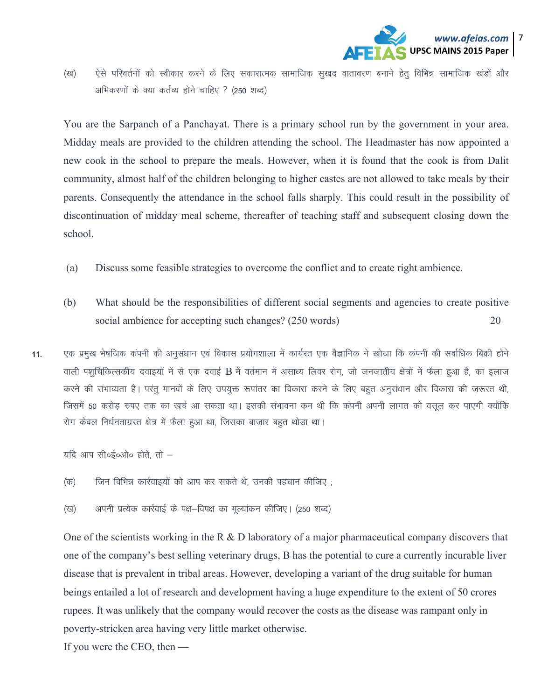

(ख) ऐसे परिवर्तनों को स्वीकार करने के लिए सकारात्मक सामाजिक सुखद वातावरण बनाने हेतु विभिन्न सामाजिक खंडों और अभिकरणों के क्या कर्तव्य होने चाहिए ? (250 शब्द)

You are the Sarpanch of a Panchayat. There is a primary school run by the government in your area. Midday meals are provided to the children attending the school. The Headmaster has now appointed a new cook in the school to prepare the meals. However, when it is found that the cook is from Dalit community, almost half of the children belonging to higher castes are not allowed to take meals by their parents. Consequently the attendance in the school falls sharply. This could result in the possibility of discontinuation of midday meal scheme, thereafter of teaching staff and subsequent closing down the school.

- (a) Discuss some feasible strategies to overcome the conflict and to create right ambience.
- (b) What should be the responsibilities of different social segments and agencies to create positive social ambience for accepting such changes? (250 words) 20
- 11. एक प्रमुख भेषजिक कंपनी की अनुसंधान एवं विकास प्रयोगशाला में कार्यरत एक वैज्ञानिक ने खोजा कि कंपनी की सर्वाधिक बिक्री होने anली पशुचिकित्सकीय दवाइयों में से एक दवाई B में वर्तमान में असाध्य लिवर रोग, जो जनजातीय क्षेत्रों में फैला हुआ है, का इलाज करने की संभाव्यता है। परंतु मानवों के लिए उपयुक्त रूपांतर का विकास करने के लिए बहुत अनुसंधान और विकास की ज़रूरत थी, जिसमें 50 करोड रुपए तक का खर्च आ सकता था। इसकी संभावना कम थी कि कंपनी अपनी लागत को वसूल कर पाएगी क्योंकि रोग केवल निर्धनताग्रस्त क्षेत्र में फैला हुआ था, जिसका बाज़ार बहुत थोड़ा था।

यदि आप सी $o$ ई $o$ ओ $o$  होते, तो  $-$ 

- $(\sigma)$  किन विभिन्न कार्रवाइयों को आप कर सकते थे, उनकी पहचान कीजिए ;
- (ख) अपनी प्रत्येक कार्रवाई के पक्ष-विपक्ष का मुल्यांकन कीजिए। (250 शब्द)

One of the scientists working in the R & D laboratory of a major pharmaceutical company discovers that one of the company's best selling veterinary drugs, B has the potential to cure a currently incurable liver disease that is prevalent in tribal areas. However, developing a variant of the drug suitable for human beings entailed a lot of research and development having a huge expenditure to the extent of 50 crores rupees. It was unlikely that the company would recover the costs as the disease was rampant only in poverty-stricken area having very little market otherwise.

If you were the CEO, then —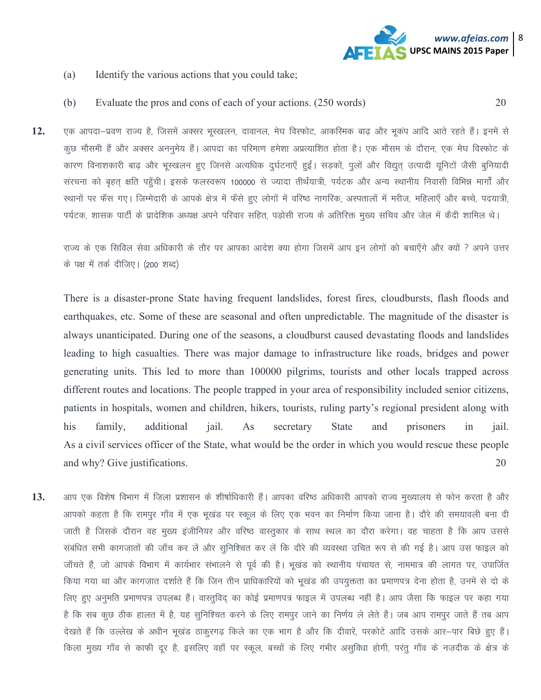

20

- Identify the various actions that you could take; (a)
- $(b)$ Evaluate the pros and cons of each of your actions. (250 words)
- एक आपदा-प्रवण राज्य है, जिसमें अक्सर भूस्खलन, दावानल, मेघ विस्फोट, आकस्मिक बाढ़ और भूकंप आदि आते रहते हैं। इनमें से 12. कूछ मौसमी हैं और अक्सर अननुमेय हैं। आपदा का परिमाण हमेशा अप्रत्याशित होता है। एक मौसम के दौरान, एक मेघ विस्फोट के कारण विनाशकारी बाढ़ और भूस्खलन हुए जिनसे अत्यधिक दुर्घटनाएँ हुईं। सड़कों, पुलों और विद्युत् उत्पादी यूनिटों जैसी बुनियादी संरचना को बहुत क्षति पहुँची। इसके फलस्वरूप 100000 से ज्यादा तीर्थंयात्री, पर्यटक और अन्य स्थानीय निवासी विभिन्न मार्गों और स्थानों पर फँस गए। जिम्मेदारी के आपके क्षेत्र में फँसे हुए लोगों में वरिष्ठ नागरिक, अस्पतालों में मरीज, महिलाएँ और बच्चे, पदयात्री, पर्यटक, शासक पार्टी के प्रादेशिक अध्यक्ष अपने परिवार सहित, पड़ोसी राज्य के अतिरिक्त मुख्य सचिव और जेल में कैदी शामिल थे।

राज्य के एक सिविल सेवा अधिकारी के तौर पर आपका आदेश क्या होगा जिसमें आप इन लोगों को बचाएँगे और क्यों ? अपने उत्तर के पक्ष में तर्क दीजिए। (200 शब्द)

There is a disaster-prone State having frequent landslides, forest fires, cloudbursts, flash floods and earthquakes, etc. Some of these are seasonal and often unpredictable. The magnitude of the disaster is always unanticipated. During one of the seasons, a cloudburst caused devastating floods and landslides leading to high casualties. There was major damage to infrastructure like roads, bridges and power generating units. This led to more than 100000 pilgrims, tourists and other locals trapped across different routes and locations. The people trapped in your area of responsibility included senior citizens, patients in hospitals, women and children, hikers, tourists, ruling party's regional president along with additional jail. **State** his family,  $As$ secretary and prisoners  $in$ jail. As a civil services officer of the State, what would be the order in which you would rescue these people and why? Give justifications. 20

आप एक विशेष विभाग में जिला प्रशासन के शीर्षाधिकारी हैं। आपका वरिष्ठ अधिकारी आपको राज्य मुख्यालय से फोन करता है और  $13.$ आपको कहता है कि रामपुर गाँव में एक भूखंड पर स्कूल के लिए एक भवन का निर्माण किया जाना है। दौरे की समयावली बना दी जाती है जिसके दौरान वह मुख्य इंजीनियर और वरिष्ठ वास्तुकार के साथ स्थल का दौरा करेगा। वह चाहता है कि आप उससे संबंधित सभी कागज़ातों की जाँच कर लें और सुनिश्चित कर लें कि दौरे की व्यवस्था उचित रूप से की गई है। आप उस फाइल को जाँचते हैं, जो आपके विभाग में कार्यभार संभालने से पूर्व की है। भूखंड को स्थानीय पंचायत से, नाममात्र की लागत पर, उपार्जित किया गया था और कागजात दर्शाते हैं कि जिन तीन प्राधिकारियों को भूखंड की उपयुक्तता का प्रमाणपत्र देना होता है, उनमें से दो के लिए हुए अनुमति प्रमाणपत्र उपलब्ध हैं। वास्तुविद् का कोई प्रमाणपत्र फाइल में उपलब्ध नहीं है। आप जैसा कि फाइल पर कहा गया है कि सब कूछ ठीक हालत में है, यह सूनिश्चित करने के लिए रामपूर जाने का निर्णय ले लेते हैं। जब आप रामपुर जाते हैं तब आप देखते हैं कि उल्लेख के अधीन भूखंड ठाकूरगढ़ किले का एक भाग है और कि दीवारें, परकोटे आदि उसके आर—पार बिछे हुए हैं। किला मुख्य गाँव से काफी दूर है, इसलिए वहाँ पर स्कूल, बच्चों के लिए गंभीर असुविधा होगी, परंतु गाँव के नज़दीक के क्षेत्र के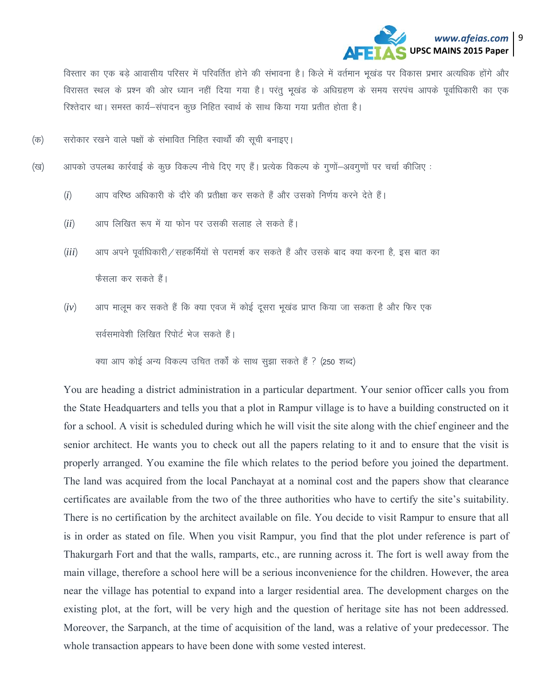

विस्तार का एक बड़े आवासीय परिसर में परिवर्तित होने की संभावना है। किले में वर्तमान भूखंड पर विकास प्रभार अत्यधिक होंगे और विरासत स्थल के प्रश्न की ओर ध्यान नहीं दिया गया है। परंतु भूखंड के अधिग्रहण के समय सरपंच आपके पूर्वाधिकारी का एक रिश्तेदार था। समस्त कार्य-संपादन कूछ निहित स्वार्थ के साथ किया गया प्रतीत होता है।

सरोकार रखने वाले पक्षों के संभावित निहित स्वार्थों की सूची बनाइए। (क)

- आपको उपलब्ध कार्रवाई के कुछ विकल्प नीचे दिए गए हैं। प्रत्येक विकल्प के गुणों-अवगुणों पर चर्चा कीजिए: (ख)
	- $(i)$ आप वरिष्ठ अधिकारी के दौरे की प्रतीक्षा कर सकते हैं और उसको निर्णय करने देते हैं।
	- आप लिखित रूप में या फोन पर उसकी सलाह ले सकते हैं।  $(ii)$
	- आप अपने पूर्वाधिकारी / सहकर्मियों से परामर्श कर सकते हैं और उसके बाद क्या करना है, इस बात का  $(iii)$ फैसला कर सकते हैं।
	- आप मालूम कर सकते हैं कि क्या एवज में कोई दूसरा भूखंड प्राप्त किया जा सकता है और फिर एक  $(i\nu)$ सर्वसमावेशी लिखित रिपोर्ट भेज सकते हैं।

क्या आप कोई अन्य विकल्प उचित तर्कों के साथ सुझा सकते हैं ? (250 शब्द)

You are heading a district administration in a particular department. Your senior officer calls you from the State Headquarters and tells you that a plot in Rampur village is to have a building constructed on it for a school. A visit is scheduled during which he will visit the site along with the chief engineer and the senior architect. He wants you to check out all the papers relating to it and to ensure that the visit is properly arranged. You examine the file which relates to the period before you joined the department. The land was acquired from the local Panchayat at a nominal cost and the papers show that clearance certificates are available from the two of the three authorities who have to certify the site's suitability. There is no certification by the architect available on file. You decide to visit Rampur to ensure that all is in order as stated on file. When you visit Rampur, you find that the plot under reference is part of Thakurgarh Fort and that the walls, ramparts, etc., are running across it. The fort is well away from the main village, therefore a school here will be a serious inconvenience for the children. However, the area near the village has potential to expand into a larger residential area. The development charges on the existing plot, at the fort, will be very high and the question of heritage site has not been addressed. Moreover, the Sarpanch, at the time of acquisition of the land, was a relative of your predecessor. The whole transaction appears to have been done with some vested interest.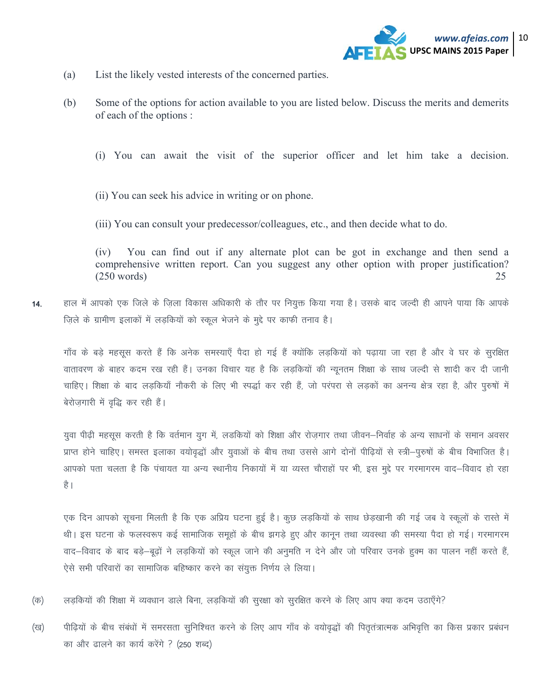

- List the likely vested interests of the concerned parties. (a)
- $(b)$ Some of the options for action available to you are listed below. Discuss the merits and demerits of each of the options :
	- (i) You can await the visit of the superior officer and let him take a decision.

(ii) You can seek his advice in writing or on phone.

(iii) You can consult your predecessor/colleagues, etc., and then decide what to do.

 $(iv)$ You can find out if any alternate plot can be got in exchange and then send a comprehensive written report. Can you suggest any other option with proper justification?  $(250 words)$ 25

हाल में आपको एक जिले के ज़िला विकास अधिकारी के तौर पर नियुक्त किया गया है। उसके बाद जल्दी ही आपने पाया कि आपके  $14.$ ज़िले के ग्रामीण इलाकों में लड़कियों को स्कूल भेजने के मुद्दे पर काफी तनाव है।

गाँव के बड़े महसूस करते हैं कि अनेक समस्याएँ पैदा हो गई हैं क्योंकि लड़कियों को पढ़ाया जा रहा है और वे घर के सुरक्षित वातावरण के बाहर कदम रख रही हैं। उनका विचार यह है कि लड़कियों की न्यूनतम शिक्षा के साथ जल्दी से शादी कर दी जानी चाहिए। शिक्षा के बाद लड़कियाँ नौकरी के लिए भी स्पर्द्धा कर रही हैं, जो परंपरा से लड़कों का अनन्य क्षेत्र रहा है, और पुरुषों में बेरोजगारी में वृद्धि कर रही हैं।

यूवा पीढ़ी महसूस करती है कि वर्तमान युग में, लडकियों को शिक्षा और रोजगार तथा जीवन–निर्वाह के अन्य साधनों के समान अवसर प्राप्त होने चाहिए। समस्त इलाका वयोवृद्धों और युवाओं के बीच तथा उससे आगे दोनों पीढ़ियों से स्त्री-पुरुषों के बीच विभाजित है। आपको पता चलता है कि पंचायत या अन्य स्थानीय निकायों में या व्यस्त चौराहों पर भी, इस मुद्दे पर गरमागरम वाद–विवाद हो रहा है ।

एक दिन आपको सूचना मिलती है कि एक अप्रिय घटना हुई है। कुछ लड़कियों के साथ छेड़खानी की गई जब वे स्कूलों के रास्ते में थी। इस घटना के फलस्वरूप कई सामाजिक समूहों के बीच झगड़े हुए और कानून तथा व्यवस्था की समस्या पैदा हो गई। गरमागरम वाद–विवाद के बाद बड़े–बूढ़ों ने लड़कियों को स्कूल जाने की अनुमति न देने और जो परिवार उनके हुक्म का पालन नहीं करते हैं, ऐसे सभी परिवारों का सामाजिक बहिष्कार करने का संयुक्त निर्णय ले लिया।

- लड़कियों की शिक्षा में व्यवधान डाले बिना, लड़कियों की सुरक्षा को सुरक्षित करने के लिए आप क्या कदम उठाएँगे? (क)
- पीढ़ियों के बीच संबंधों में समरसता सुनिश्चित करने के लिए आप गाँव के वयोवृद्धों की पितृतंत्रात्मक अभिवृत्ति का किस प्रकार प्रबंधन (ख) का और ढालने का कार्य करेंगे ? (250 शब्द)